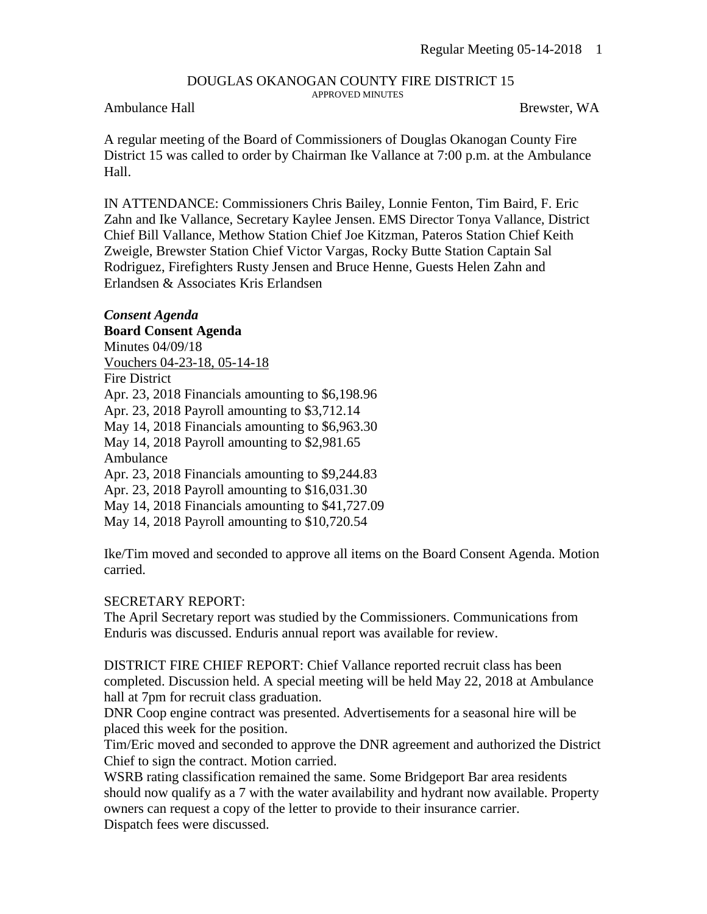# DOUGLAS OKANOGAN COUNTY FIRE DISTRICT 15

APPROVED MINUTES

#### Ambulance Hall Brewster, WA

A regular meeting of the Board of Commissioners of Douglas Okanogan County Fire District 15 was called to order by Chairman Ike Vallance at 7:00 p.m. at the Ambulance Hall.

IN ATTENDANCE: Commissioners Chris Bailey, Lonnie Fenton, Tim Baird, F. Eric Zahn and Ike Vallance, Secretary Kaylee Jensen. EMS Director Tonya Vallance, District Chief Bill Vallance, Methow Station Chief Joe Kitzman, Pateros Station Chief Keith Zweigle, Brewster Station Chief Victor Vargas, Rocky Butte Station Captain Sal Rodriguez, Firefighters Rusty Jensen and Bruce Henne, Guests Helen Zahn and Erlandsen & Associates Kris Erlandsen

### *Consent Agenda*

**Board Consent Agenda**

Minutes 04/09/18 Vouchers 04-23-18, 05-14-18 Fire District Apr. 23, 2018 Financials amounting to \$6,198.96 Apr. 23, 2018 Payroll amounting to \$3,712.14 May 14, 2018 Financials amounting to \$6,963.30 May 14, 2018 Payroll amounting to \$2,981.65 Ambulance Apr. 23, 2018 Financials amounting to \$9,244.83 Apr. 23, 2018 Payroll amounting to \$16,031.30 May 14, 2018 Financials amounting to \$41,727.09

May 14, 2018 Payroll amounting to \$10,720.54

Ike/Tim moved and seconded to approve all items on the Board Consent Agenda. Motion carried.

#### SECRETARY REPORT:

The April Secretary report was studied by the Commissioners. Communications from Enduris was discussed. Enduris annual report was available for review.

DISTRICT FIRE CHIEF REPORT: Chief Vallance reported recruit class has been completed. Discussion held. A special meeting will be held May 22, 2018 at Ambulance hall at 7pm for recruit class graduation.

DNR Coop engine contract was presented. Advertisements for a seasonal hire will be placed this week for the position.

Tim/Eric moved and seconded to approve the DNR agreement and authorized the District Chief to sign the contract. Motion carried.

WSRB rating classification remained the same. Some Bridgeport Bar area residents should now qualify as a 7 with the water availability and hydrant now available. Property owners can request a copy of the letter to provide to their insurance carrier. Dispatch fees were discussed.